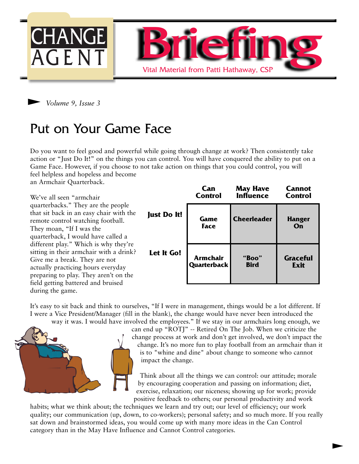



# Put on Your Game Face

Do you want to feel good and powerful while going through change at work? Then consistently take action or "Just Do It!" on the things you can control. You will have conquered the ability to put on a Game Face. However, if you choose to not take action on things that you could control, you will feel helpless and hopeless and become

an Armchair Quarterback.

We've all seen "armchair quarterbacks." They are the people that sit back in an easy chair with the remote control watching football. They moan, "If I was the quarterback, I would have called a different play." Which is why they're sitting in their armchair with a drink? Give me a break. They are not actually practicing hours everyday preparing to play. They aren't on the field getting battered and bruised during the game. **Just D** Let It

|        | Can             | <b>May Have</b>    | <b>Cannot</b>       |
|--------|-----------------|--------------------|---------------------|
|        | <b>Control</b>  | <b>Influence</b>   | <b>Control</b>      |
| )o It! | Game<br>Face    | <b>Cheerleader</b> | <b>Hanger</b><br>On |
| t Go!  | <b>Armchair</b> | "Boo"              | <b>Graceful</b>     |
|        | Quarterback     | <b>Bird</b>        | Exit                |

It's easy to sit back and think to ourselves, "If I were in management, things would be a lot different. If I were a Vice President/Manager (fill in the blank), the change would have never been introduced the way it was. I would have involved the employees." If we stay in our armchairs long enough, we



can end up "ROTJ" -- Retired On The Job. When we criticize the change process at work and don't get involved, we don't impact the change. It's no more fun to play football from an armchair than it is to "whine and dine" about change to someone who cannot impact the change.

Think about all the things we can control: our attitude; morale by encouraging cooperation and passing on information; diet, exercise, relaxation; our niceness; showing up for work; provide positive feedback to others; our personal productivity and work

 $\blacktriangleright$ 

habits; what we think about; the techniques we learn and try out; our level of efficiency; our work quality; our communication (up, down, to co-workers); personal safety; and so much more. If you really sat down and brainstormed ideas, you would come up with many more ideas in the Can Control category than in the May Have Influence and Cannot Control categories.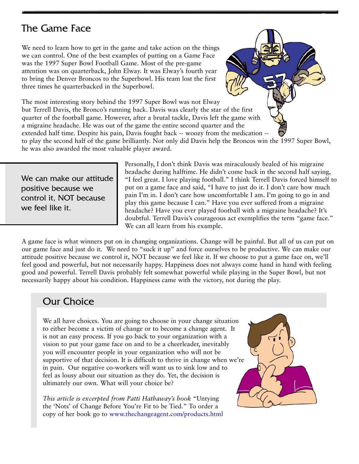## The Game Face

We need to learn how to get in the game and take action on the things we can control. One of the best examples of putting on a Game Face was the 1997 Super Bowl Football Game. Most of the pre-game attention was on quarterback, John Elway. It was Elway's fourth year to bring the Denver Broncos to the Superbowl. His team lost the first three times he quarterbacked in the Superbowl.

The most interesting story behind the 1997 Super Bowl was not Elway but Terrell Davis, the Bronco's running back. Davis was clearly the star of the first quarter of the football game. However, after a brutal tackle, Davis left the game with a migraine headache. He was out of the game the entire second quarter and the extended half time. Despite his pain, Davis fought back -- woozy from the medication --

to play the second half of the game brilliantly. Not only did Davis help the Broncos win the 1997 Super Bowl, he was also awarded the most valuable player award.

We can make our attitude positive because we control it, NOT because we feel like it.

Personally, I don't think Davis was miraculously healed of his migraine headache during halftime. He didn't come back in the second half saying, "I feel great. I love playing football." I think Terrell Davis forced himself to put on a game face and said, "I have to just do it. I don't care how much pain I'm in. I don't care how uncomfortable I am. I'm going to go in and play this game because I can." Have you ever suffered from a migraine headache? Have you ever played football with a migraine headache? It's doubtful. Terrell Davis's courageous act exemplifies the term "game face." We can all learn from his example.

A game face is what winners put on in changing organizations. Change will be painful. But all of us can put on our game face and just do it. We need to "suck it up" and force ourselves to be productive. We can make our attitude positive because we control it, NOT because we feel like it. If we choose to put a game face on, we'll feel good and powerful, but not necessarily happy. Happiness does not always come hand in hand with feeling good and powerful. Terrell Davis probably felt somewhat powerful while playing in the Super Bowl, but not necessarily happy about his condition. Happiness came with the victory, not during the play.

## Our Choice

We all have choices. You are going to choose in your change situation to either become a victim of change or to become a change agent. It is not an easy process. If you go back to your organization with a vision to put your game face on and to be a cheerleader, inevitably you will encounter people in your organization who will not be supportive of that decision. It is difficult to thrive in change when we're in pain. Our negative co-workers will want us to sink low and to feel as lousy about our situation as they do. Yet, the decision is ultimately our own. What will your choice be?

*This article is excerpted from Patti Hathaway's book* "Untying the 'Nots' of Change Before You're Fit to be Tied." To order a copy of her book go to [www.thechangeagent.com/products.html](http://www.thechangeagent.com/products.html)